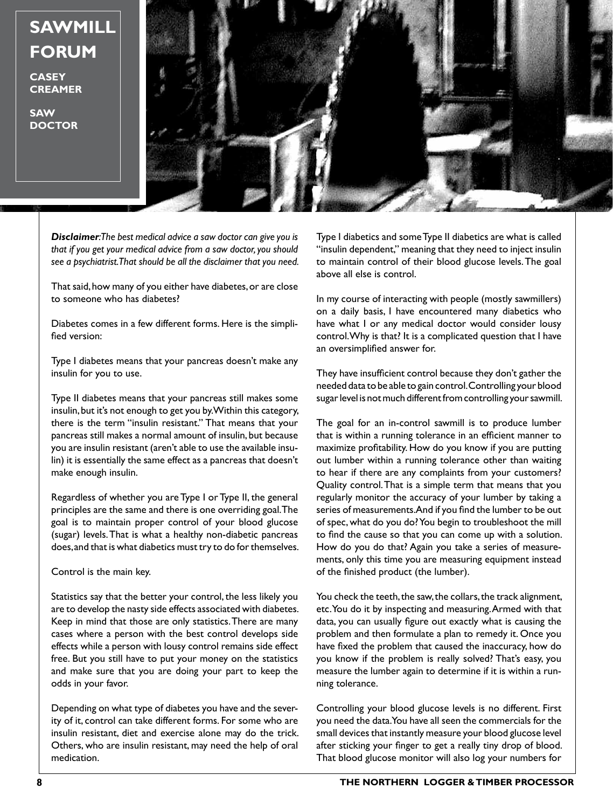**SAWMILL FORUM**

**CASEY CREAMER**

**SAW DOCTOR**



*Disclaimer: The best medical advice a saw doctor can give you is that if you get your medical advice from a saw doctor, you should see a psychiatrist. That should be all the disclaimer that you need.*

That said, how many of you either have diabetes, or are close to someone who has diabetes?

Diabetes comes in a few different forms. Here is the simplified version:

Type I diabetes means that your pancreas doesn't make any insulin for you to use.

Type II diabetes means that your pancreas still makes some insulin, but it's not enough to get you by. Within this category, there is the term "insulin resistant." That means that your pancreas still makes a normal amount of insulin, but because you are insulin resistant (aren't able to use the available insulin) it is essentially the same effect as a pancreas that doesn't make enough insulin.

Regardless of whether you are Type I or Type II, the general principles are the same and there is one overriding goal. The goal is to maintain proper control of your blood glucose (sugar) levels. That is what a healthy non-diabetic pancreas does, and that is what diabetics must try to do for themselves.

Control is the main key.

Statistics say that the better your control, the less likely you are to develop the nasty side effects associated with diabetes. Keep in mind that those are only statistics. There are many cases where a person with the best control develops side effects while a person with lousy control remains side effect free. But you still have to put your money on the statistics and make sure that you are doing your part to keep the odds in your favor.

Depending on what type of diabetes you have and the severity of it, control can take different forms. For some who are insulin resistant, diet and exercise alone may do the trick. Others, who are insulin resistant, may need the help of oral medication.

Type I diabetics and some Type II diabetics are what is called "insulin dependent," meaning that they need to inject insulin to maintain control of their blood glucose levels. The goal above all else is control.

In my course of interacting with people (mostly sawmillers) on a daily basis, I have encountered many diabetics who have what I or any medical doctor would consider lousy control. Why is that? It is a complicated question that I have an oversimplified answer for.

They have insufficient control because they don't gather the needed data to be able to gain control. Controlling your blood sugar level is not much different from controlling your sawmill.

The goal for an in-control sawmill is to produce lumber that is within a running tolerance in an efficient manner to maximize profitability. How do you know if you are putting out lumber within a running tolerance other than waiting to hear if there are any complaints from your customers? Quality control. That is a simple term that means that you regularly monitor the accuracy of your lumber by taking a series of measurements. And if you find the lumber to be out of spec, what do you do? You begin to troubleshoot the mill to find the cause so that you can come up with a solution. How do you do that? Again you take a series of measurements, only this time you are measuring equipment instead of the finished product (the lumber).

You check the teeth, the saw, the collars, the track alignment, etc. You do it by inspecting and measuring. Armed with that data, you can usually figure out exactly what is causing the problem and then formulate a plan to remedy it. Once you have fixed the problem that caused the inaccuracy, how do you know if the problem is really solved? That's easy, you measure the lumber again to determine if it is within a running tolerance.

Controlling your blood glucose levels is no different. First you need the data. You have all seen the commercials for the small devices that instantly measure your blood glucose level after sticking your finger to get a really tiny drop of blood. That blood glucose monitor will also log your numbers for